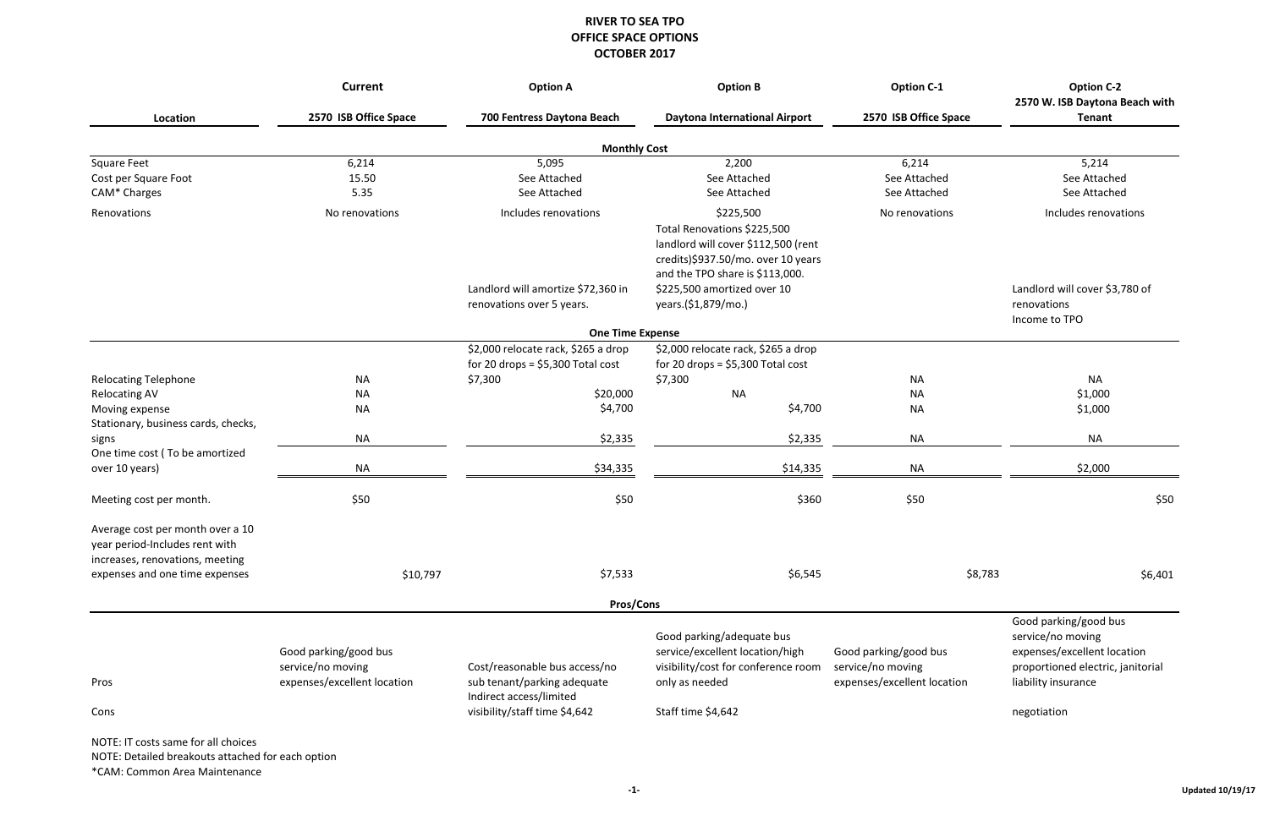| <b>Option C-2</b>              |
|--------------------------------|
| 2570 W. ISB Daytona Beach with |
| <b>Tenant</b>                  |

| ΝA<br>\$1,000<br>\$1,000                  |
|-------------------------------------------|
| ΝA                                        |
| $\frac{1}{2}$ $\frac{1}{2}$ $\frac{1}{2}$ |

|                                                                                                       | <b>Option B</b><br><b>Current</b><br><b>Option A</b> |                                                                           | <b>Option C-1</b>                                                                                                                                        | <b>Option C-2</b><br>2570 W. ISB Daytona Beach with |                                                                                                                |
|-------------------------------------------------------------------------------------------------------|------------------------------------------------------|---------------------------------------------------------------------------|----------------------------------------------------------------------------------------------------------------------------------------------------------|-----------------------------------------------------|----------------------------------------------------------------------------------------------------------------|
| Location                                                                                              | 2570 ISB Office Space                                | 700 Fentress Daytona Beach                                                | <b>Daytona International Airport</b>                                                                                                                     | 2570 ISB Office Space                               | <b>Tenant</b>                                                                                                  |
|                                                                                                       |                                                      | <b>Monthly Cost</b>                                                       |                                                                                                                                                          |                                                     |                                                                                                                |
| <b>Square Feet</b>                                                                                    | 6,214                                                | 5,095                                                                     | 2,200                                                                                                                                                    | 6,214                                               | 5,214                                                                                                          |
| Cost per Square Foot                                                                                  | 15.50                                                | See Attached                                                              | See Attached                                                                                                                                             | See Attached                                        | See Attached                                                                                                   |
| CAM* Charges                                                                                          | 5.35                                                 | See Attached                                                              | See Attached                                                                                                                                             | See Attached                                        | See Attached                                                                                                   |
| Renovations                                                                                           | No renovations                                       | Includes renovations                                                      | \$225,500<br>Total Renovations \$225,500<br>landlord will cover \$112,500 (rent<br>credits)\$937.50/mo. over 10 years<br>and the TPO share is \$113,000. | No renovations                                      | Includes renovations                                                                                           |
|                                                                                                       |                                                      | Landlord will amortize \$72,360 in<br>renovations over 5 years.           | \$225,500 amortized over 10<br>years.(\$1,879/mo.)                                                                                                       |                                                     | Landlord will cover \$3,780 of<br>renovations<br>Income to TPO                                                 |
|                                                                                                       |                                                      | <b>One Time Expense</b>                                                   |                                                                                                                                                          |                                                     |                                                                                                                |
|                                                                                                       |                                                      | \$2,000 relocate rack, \$265 a drop<br>for 20 drops = $$5,300$ Total cost | \$2,000 relocate rack, \$265 a drop<br>for 20 drops = $$5,300$ Total cost                                                                                |                                                     |                                                                                                                |
| <b>Relocating Telephone</b>                                                                           | <b>NA</b>                                            | \$7,300                                                                   | \$7,300                                                                                                                                                  | <b>NA</b>                                           | <b>NA</b>                                                                                                      |
| <b>Relocating AV</b>                                                                                  | <b>NA</b>                                            | \$20,000                                                                  | <b>NA</b>                                                                                                                                                | <b>NA</b>                                           | \$1,000                                                                                                        |
| Moving expense<br>Stationary, business cards, checks,                                                 | <b>NA</b>                                            | \$4,700                                                                   | \$4,700                                                                                                                                                  | <b>NA</b>                                           | \$1,000                                                                                                        |
| signs<br>One time cost (To be amortized                                                               | <b>NA</b>                                            | \$2,335                                                                   | \$2,335                                                                                                                                                  | <b>NA</b>                                           | <b>NA</b>                                                                                                      |
| over 10 years)                                                                                        | <b>NA</b>                                            | \$34,335                                                                  | \$14,335                                                                                                                                                 | <b>NA</b>                                           | \$2,000                                                                                                        |
| Meeting cost per month.                                                                               | \$50                                                 | \$50                                                                      | \$360                                                                                                                                                    | \$50                                                | \$50                                                                                                           |
| Average cost per month over a 10<br>year period-Includes rent with<br>increases, renovations, meeting |                                                      |                                                                           |                                                                                                                                                          |                                                     |                                                                                                                |
| expenses and one time expenses                                                                        | \$10,797                                             | \$7,533                                                                   | \$6,545                                                                                                                                                  | \$8,783                                             | \$6,401                                                                                                        |
|                                                                                                       |                                                      | Pros/Cons                                                                 |                                                                                                                                                          |                                                     |                                                                                                                |
|                                                                                                       | Good parking/good bus<br>service/no moving           | Cost/reasonable bus access/no                                             | Good parking/adequate bus<br>service/excellent location/high<br>visibility/cost for conference room                                                      | Good parking/good bus<br>service/no moving          | Good parking/good bus<br>service/no moving<br>expenses/excellent location<br>proportioned electric, janitorial |
| Pros                                                                                                  | expenses/excellent location                          | sub tenant/parking adequate<br>Indirect access/limited                    | only as needed                                                                                                                                           | expenses/excellent location                         | liability insurance                                                                                            |
| Cons                                                                                                  |                                                      | visibility/staff time \$4,642                                             | Staff time \$4,642                                                                                                                                       |                                                     | negotiation                                                                                                    |
| NOTE: IT costs same for all choices                                                                   |                                                      |                                                                           |                                                                                                                                                          |                                                     |                                                                                                                |

NOTE: Detailed breakouts attached for each option

\*CAM: Common Area Maintenance

#### **RIVER TO SEA TPO OFFICE SPACE OPTIONS OCTOBER 2017**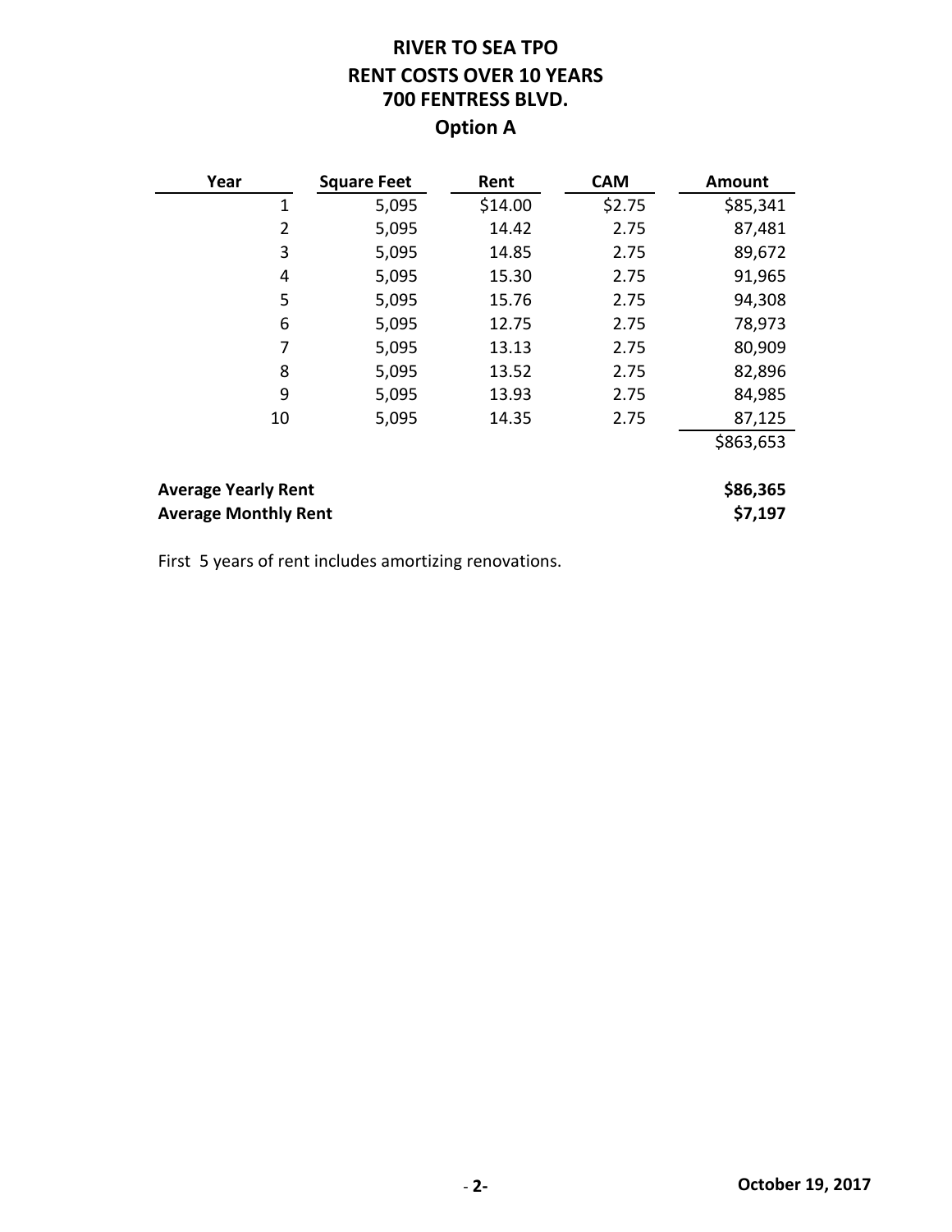# **RIVER TO SEA TPO RENT COSTS OVER 10 YEARS 700 FENTRESS BLVD. Option A**

| Year                                                      | <b>Square Feet</b> | Rent    | <b>CAM</b> | <b>Amount</b>       |
|-----------------------------------------------------------|--------------------|---------|------------|---------------------|
| $\mathbf 1$                                               | 5,095              | \$14.00 | \$2.75     | \$85,341            |
| $\overline{2}$                                            | 5,095              | 14.42   | 2.75       | 87,481              |
| 3                                                         | 5,095              | 14.85   | 2.75       | 89,672              |
| 4                                                         | 5,095              | 15.30   | 2.75       | 91,965              |
| 5                                                         | 5,095              | 15.76   | 2.75       | 94,308              |
| 6                                                         | 5,095              | 12.75   | 2.75       | 78,973              |
| 7                                                         | 5,095              | 13.13   | 2.75       | 80,909              |
| 8                                                         | 5,095              | 13.52   | 2.75       | 82,896              |
| 9                                                         | 5,095              | 13.93   | 2.75       | 84,985              |
| 10                                                        | 5,095              | 14.35   | 2.75       | 87,125              |
|                                                           |                    |         |            | \$863,653           |
| <b>Average Yearly Rent</b><br><b>Average Monthly Rent</b> |                    |         |            | \$86,365<br>\$7,197 |

First 5 years of rent includes amortizing renovations.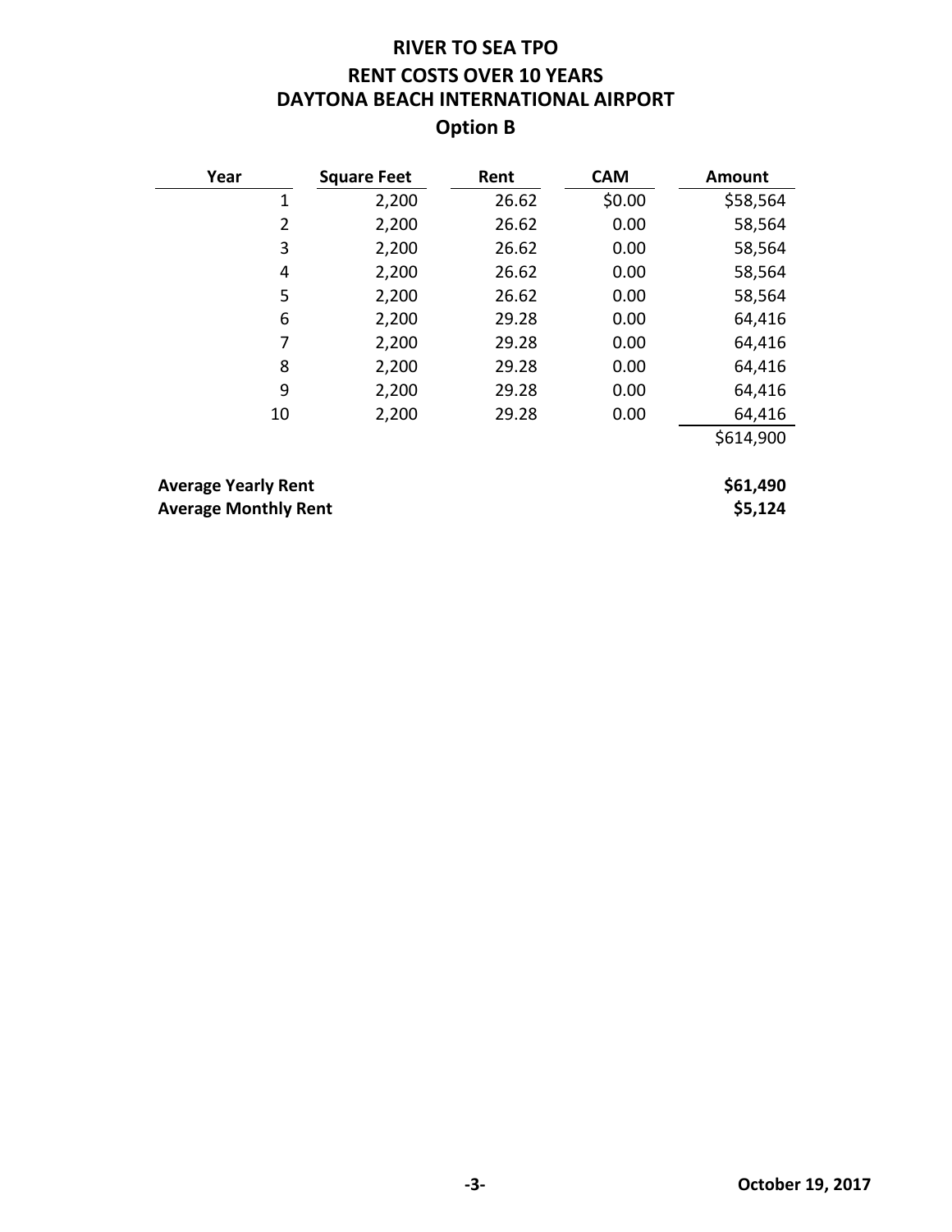## **RIVER TO SEA TPO RENT COSTS OVER 10 YEARS DAYTONA BEACH INTERNATIONAL AIRPORT Option B**

| Year                                                      | <b>Square Feet</b> | Rent  | <b>CAM</b> | Amount              |
|-----------------------------------------------------------|--------------------|-------|------------|---------------------|
| 1                                                         | 2,200              | 26.62 | \$0.00     | \$58,564            |
| 2                                                         | 2,200              | 26.62 | 0.00       | 58,564              |
| 3                                                         | 2,200              | 26.62 | 0.00       | 58,564              |
| 4                                                         | 2,200              | 26.62 | 0.00       | 58,564              |
| 5                                                         | 2,200              | 26.62 | 0.00       | 58,564              |
| 6                                                         | 2,200              | 29.28 | 0.00       | 64,416              |
| 7                                                         | 2,200              | 29.28 | 0.00       | 64,416              |
| 8                                                         | 2,200              | 29.28 | 0.00       | 64,416              |
| 9                                                         | 2,200              | 29.28 | 0.00       | 64,416              |
| 10                                                        | 2,200              | 29.28 | 0.00       | 64,416              |
|                                                           |                    |       |            | \$614,900           |
|                                                           |                    |       |            |                     |
| <b>Average Yearly Rent</b><br><b>Average Monthly Rent</b> |                    |       |            | \$61,490<br>\$5,124 |
|                                                           |                    |       |            |                     |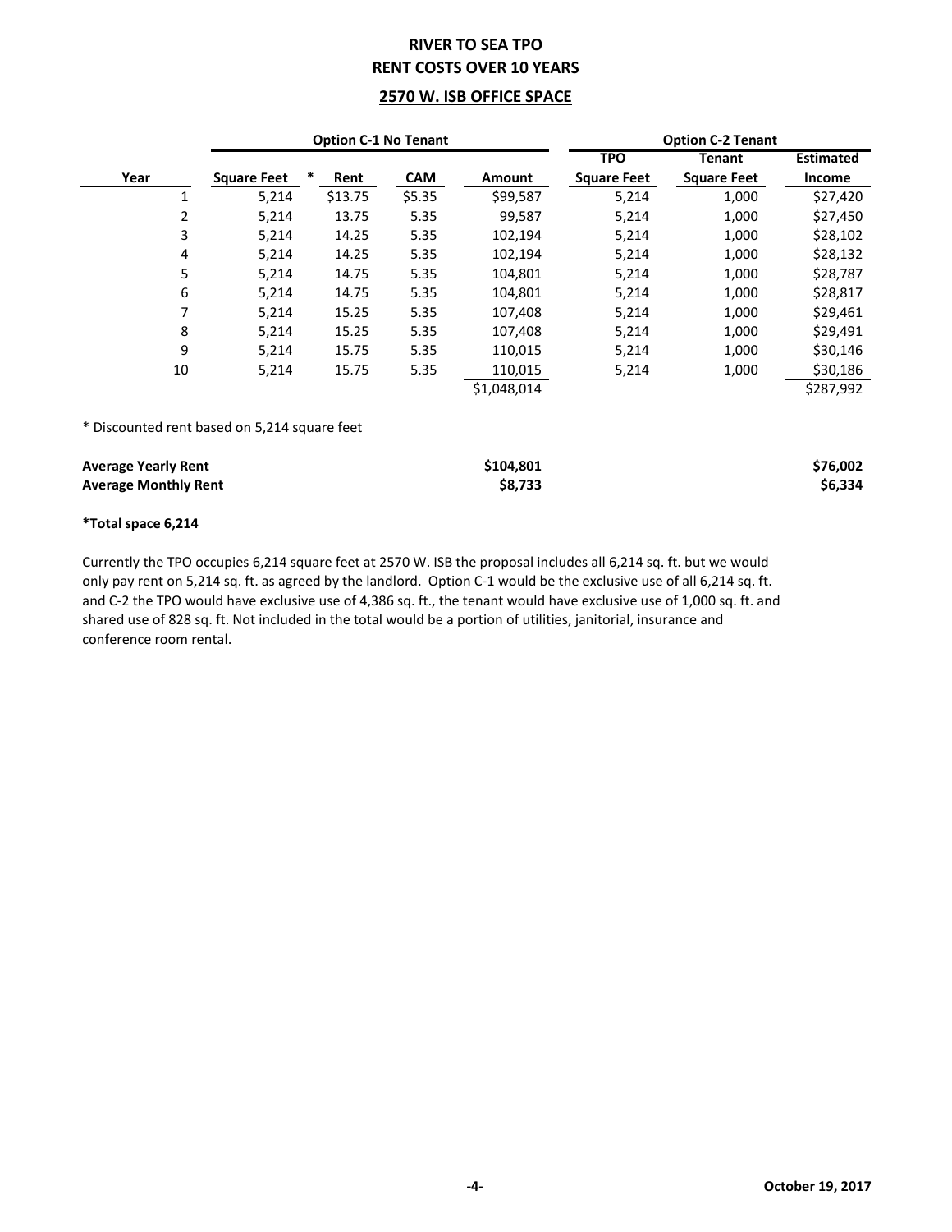### **RIVER TO SEA TPO RENT COSTS OVER 10 YEARS**

#### **2570 W. ISB OFFICE SPACE**

| <b>Option C-1 No Tenant</b>                               |                    | <b>Option C-2 Tenant</b> |            |                      |                    |                    |                     |
|-----------------------------------------------------------|--------------------|--------------------------|------------|----------------------|--------------------|--------------------|---------------------|
|                                                           |                    |                          |            |                      | <b>TPO</b>         | Tenant             | <b>Estimated</b>    |
| Year                                                      | <b>Square Feet</b> | ∗<br>Rent                | <b>CAM</b> | <b>Amount</b>        | <b>Square Feet</b> | <b>Square Feet</b> | Income              |
| $\mathbf{1}$                                              | 5,214              | \$13.75                  | \$5.35     | \$99,587             | 5,214              | 1,000              | \$27,420            |
| 2                                                         | 5,214              | 13.75                    | 5.35       | 99,587               | 5,214              | 1,000              | \$27,450            |
| 3                                                         | 5,214              | 14.25                    | 5.35       | 102,194              | 5,214              | 1,000              | \$28,102            |
| 4                                                         | 5,214              | 14.25                    | 5.35       | 102,194              | 5,214              | 1,000              | \$28,132            |
| 5                                                         | 5,214              | 14.75                    | 5.35       | 104,801              | 5,214              | 1,000              | \$28,787            |
| 6                                                         | 5,214              | 14.75                    | 5.35       | 104,801              | 5,214              | 1,000              | \$28,817            |
| 7                                                         | 5,214              | 15.25                    | 5.35       | 107,408              | 5,214              | 1,000              | \$29,461            |
| 8                                                         | 5,214              | 15.25                    | 5.35       | 107,408              | 5,214              | 1,000              | \$29,491            |
| 9                                                         | 5,214              | 15.75                    | 5.35       | 110,015              | 5,214              | 1,000              | \$30,146            |
| 10                                                        | 5,214              | 15.75                    | 5.35       | 110,015              | 5,214              | 1,000              | \$30,186            |
|                                                           |                    |                          |            | \$1,048,014          |                    |                    | \$287,992           |
| * Discounted rent based on 5,214 square feet              |                    |                          |            |                      |                    |                    |                     |
| <b>Average Yearly Rent</b><br><b>Average Monthly Rent</b> |                    |                          |            | \$104,801<br>\$8,733 |                    |                    | \$76,002<br>\$6,334 |

#### **\*Total space 6,214**

Currently the TPO occupies 6,214 square feet at 2570 W. ISB the proposal includes all 6,214 sq. ft. but we would only pay rent on 5,214 sq. ft. as agreed by the landlord. Option C-1 would be the exclusive use of all 6,214 sq. ft. and C-2 the TPO would have exclusive use of 4,386 sq. ft., the tenant would have exclusive use of 1,000 sq. ft. and shared use of 828 sq. ft. Not included in the total would be a portion of utilities, janitorial, insurance and conference room rental.